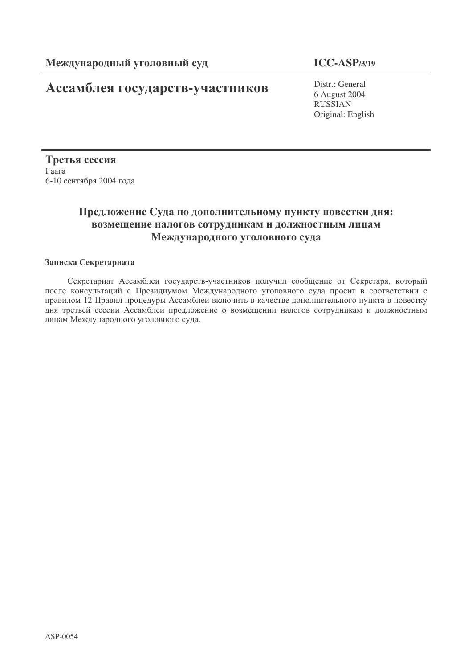# **Ассамблея государств-участников** Distr.: General

## **ICC-ASP/3/19**

6 August 2004 RUSSIAN Original: English

Третья сессия  $\Gamma$ aara 6-10 сентября 2004 года

## Предложение Суда по дополнительному пункту повестки дня: возмещение налогов сотрудникам и должностным лицам Международного уголовного суда

### Записка Секретариата

Секретариат Ассамблеи государств-участников получил сообщение от Секретаря, который после консультаций с Президиумом Международного уголовного суда просит в соответствии с правилом 12 Правил процедуры Ассамблеи включить в качестве дополнительного пункта в повестку дня третьей сессии Ассамблеи предложение о возмещении налогов сотрудникам и должностным лицам Международного уголовного суда.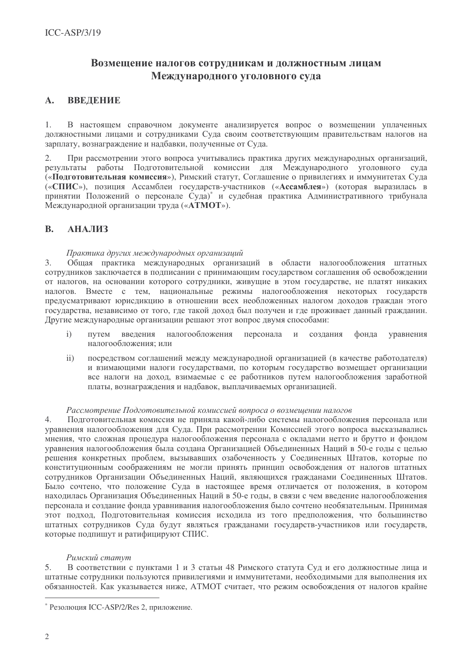### Возмещение налогов сотрудникам и должностным лицам Международного уголовного суда

#### $\mathbf{A}$ . **BBBJIDHIIB**

 $1<sub>1</sub>$ В настоящем справочном документе анализируется вопрос о возмещении уплаченных должностными лицами и сотрудниками Суда своим соответствующим правительствам налогов на зарплату, вознаграждение и надбавки, полученные от Суда.

При рассмотрении этого вопроса учитывались практика лругих международных организаций,  $2.$ результаты работы Подготовительной комиссии для Международного уголовного суда («Подготовительная комиссия»), Римский статут, Соглашение о привилегиях и иммунитетах Суда («СПИС»), позиция Ассамблеи государств-участников («Ассамблея») (которая выразилась в принятии Положений о персонале Суда) и судебная практика Административного трибунала Международной организации труда («АТМОТ»).

#### **B. АНАЛИЗ**

### Практика других международных организаций

Общая практика международных организаций в области налогообложения штатных  $3<sub>1</sub>$ сотрудников заключается в подписании с принимающим государством соглашения об освобождении от налогов, на основании которого сотрудники, живущие в этом государстве, не платят никаких налогов. Вместе с тем, национальные режимы налогообложения некоторых государств предусматривают юрисликцию в отношении всех необложенных налогом лоходов граждан этого государства, независимо от того, где такой доход был получен и где проживает данный гражданин. Другие международные организации решают этот вопрос двумя способами:

- $\mathbf{i}$ налогообложения путем ввеления персонала  $\mathbf{M}$ создания фонда уравнения налогообложения: или
- посредством соглашений между международной организацией (в качестве работодателя)  $\mathbf{ii}$ и взимающими налоги государствами, по которым государство возмешает организации все налоги на доход, взимаемые с ее работников путем налогообложения заработной платы, вознаграждения и надбавок, выплачиваемых организацией.

#### Рассмотрение Подготовительной комиссией вопроса о возмешении налогов

Подготовительная комиссия не приняла какой-либо системы налогообложения персонала или  $\overline{4}$ . уравнения налогообложения для Суда. При рассмотрении Комиссией этого вопроса высказывались мнения, что сложная процелура налогообложения персонала с окладами нетто и брутто и фондом уравнения налогообложения была создана Организацией Объединенных Наций в 50-е годы с целью решения конкретных проблем, вызывавших озабоченность у Соединенных Штатов, которые по конституционным соображениям не могли принять принцип освобождения от налогов штатных сотрудников Организации Объединенных Наций, являющихся гражданами Соединенных Штатов. Было сочтено, что положение Суда в настоящее время отличается от положения, в котором находилась Организация Объединенных Наций в 50-е годы, в связи с чем введение налогообложения персонала и создание фонда уравнивания налогообложения было сочтено необязательным. Принимая этот подход, Подготовительная комиссия исходила из того предположения, что большинство штатных сотрудников Суда будут являться гражданами государств-участников или государств, которые подпишут и ратифицируют СПИС.

### Римский статут

В соответствии с пунктами 1 и 3 статьи 48 Римского статута Суд и его должностные лица и 5. штатные сотрудники пользуются привилегиями и иммунитетами, необходимыми для выполнения их обязанностей. Как указывается ниже, АТМОТ считает, что режим освобождения от налогов крайне

<sup>\*</sup> Резолюция ICC-ASP/2/Res 2, приложение.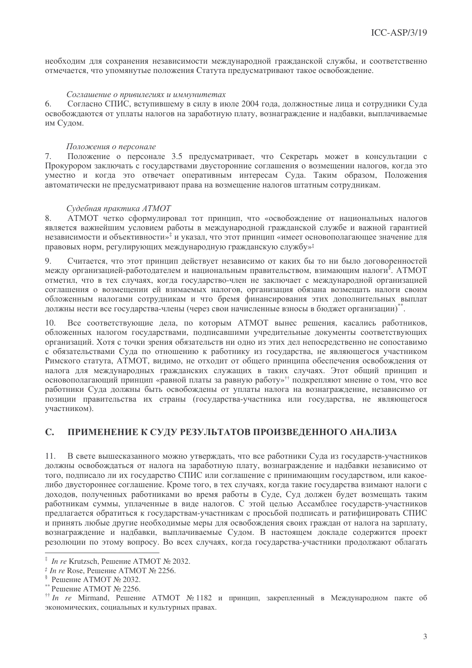необходим для сохранения независимости международной гражданской службы, и соответственно отмечается, что упомянутые положения Статута предусматривают такое освобождение.

### Соглашение о привилегиях и иммунитетах

Согласно СПИС, вступившему в силу в июле 2004 года, должностные лица и сотрудники Суда 6. освобождаются от уплаты налогов на заработную плату, вознаграждение и надбавки, выплачиваемые им Судом.

#### Положения о персонале

Положение о персонале 3.5 предусматривает, что Секретарь может в консультации с  $7.$ Прокурором заключать с государствами двусторонние соглашения о возмещении налогов, когда это уместно и когда это отвечает оперативным интересам Суда. Таким образом, Положения автоматически не предусматривают права на возмешение налогов штатным сотрудникам.

#### Судебная практика АТМОТ

ATMOT четко сформулировал тот принцип, что «освобождение от национальных налогов 8. является важнейшим условием работы в международной гражданской службе и важной гарантией независимости и объективности»<sup>†</sup> и указал, что этот принцип «имеет основополагающее значение для правовых норм, регулирующих международную гражданскую службу»<sup>‡</sup>

Считается, что этот принцип лействует независимо от каких бы то ни было логоворенностей  $\mathbf Q$ между организацией-работодателем и национальным правительством, взимающим налоги<sup>§</sup>. АТМОТ отметил, что в тех случаях, когда государство-член не заключает с международной организацией соглашения о возмещении ей взимаемых налогов, организация обязана возмещать налоги своим обложенным налогами сотрудникам и что бремя финансирования этих дополнительных выплат должны нести все государства-члены (через свои начисленные взносы в бюджет организации)\*\*.

Все соответствующие дела, по которым АТМОТ вынес решения, касались работников, 10. обложенных налогом государствами, подписавшими учредительные документы соответствующих организаций. Хотя с точки зрения обязательств ни одно из этих дел непосредственно не сопоставимо с обязательствами Суда по отношению к работнику из государства, не являющегося участником Римского статута, АТМОТ, видимо, не отходит от общего принципа обеспечения освобождения от налога для международных гражданских служащих в таких случаях. Этот общий принцип и основополагающий принцип «равной платы за равную работу»<sup>††</sup> подкрепляют мнение о том, что все работники Суда должны быть освобождены от уплаты налога на вознаграждение, независимо от позиции правительства их страны (государства-участника или государства, не являющегося участником).

#### $\mathbf{C}$ . ПРИМЕНЕНИЕ К СУДУ РЕЗУЛЬТАТОВ ПРОИЗВЕДЕННОГО АНАЛИЗА

11. В свете вышесказанного можно утверждать, что все работники Суда из государств-участников должны освобождаться от налога на заработную плату, вознаграждение и надбавки независимо от того, подписало ли их государство СПИС или соглашение с принимающим государством, или какоелибо двустороннее соглашение. Кроме того, в тех случаях, когда такие государства взимают налоги с доходов, полученных работниками во время работы в Суде, Суд должен будет возмещать таким работникам суммы, уплаченные в виде налогов. С этой целью Ассамблее государств-участников предлагается обратиться к государствам-участникам с просьбой подписать и ратифицировать СПИС и принять любые другие необходимые меры для освобождения своих граждан от налога на зарплату, вознаграждение и надбавки, выплачиваемые Судом. В настоящем докладе содержится проект резолюции по этому вопросу. Во всех случаях, когда государства-участники продолжают облагать

<sup>‡</sup> In re Krutzsch. Решение АТМОТ № 2032.

<sup>&</sup>lt;sup> $\ddagger$ </sup> In re Rose, Решение АТМОТ № 2256.

 $\frac{1}{2}$  Решение АТМОТ № 2032.

<sup>&</sup>lt;sup>\*\*</sup> Решение АТМОТ № 2256.

<sup>&</sup>lt;sup>††</sup> In re Mirmand, Решение АТМОТ № 1182 и принцип, закрепленный в Международном пакте об экономических, социальных и культурных правах.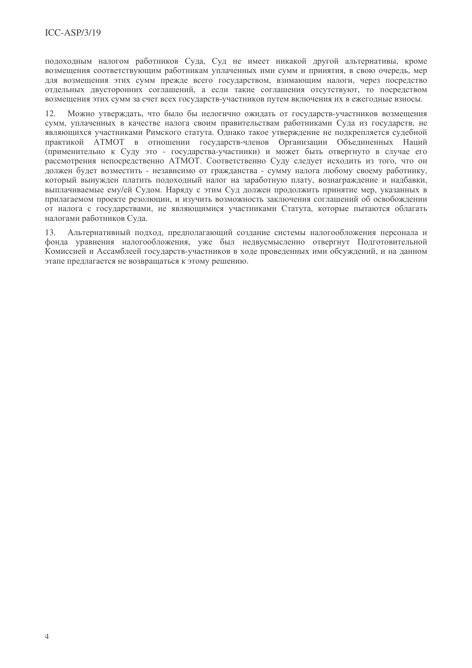подоходным налогом работников Суда, Суд не имеет никакой другой альтернативы, кроме возмещения соответствующим работникам уплаченных ими сумм и принятия, в свою очередь, мер лля возмешения этих сумм прежде всего государством, взимающим налоги, через посредство отдельных двусторонних соглашений, а если такие соглашения отсутствуют, то посредством возмещения этих сумм за счет всех государств-участников путем включения их в ежегодные взносы.

Можно утверждать, что было бы нелогично ожидать от государств-участников возмещения  $12.$ сумм, уплаченных в качестве налога своим правительствам работниками Суда из государств, не являющихся участниками Римского статута. Однако такое утверждение не подкрепляется судебной практикой АТМОТ в отношении государств-членов Организации Объединенных Наций (применительно к Суду это - государства-участники) и может быть отвергнуто в случае его рассмотрения непосредственно АТМОТ. Соответственно Суду следует исходить из того, что он лолжен булет возместить - независимо от гражданства - сумму налога любому своему работнику. который вынужден платить подоходный налог на заработную плату, вознаграждение и надбавки, выплачиваемые ему/ей Судом. Наряду с этим Суд должен продолжить принятие мер, указанных в прилагаемом проекте резолюции, и изучить возможность заключения соглашений об освобождении от налога с государствами, не являющимися участниками Статута, которые пытаются облагать налогами работников Суда.

 $13$ Альтернативный подход, предполагающий создание системы налогообложения персонала и фонда уравнения налогообложения, уже был недвусмысленно отвергнут Подготовительной Комиссией и Ассамблеей государств-участников в ходе проведенных ими обсуждений, и на данном этапе предлагается не возвращаться к этому решению.